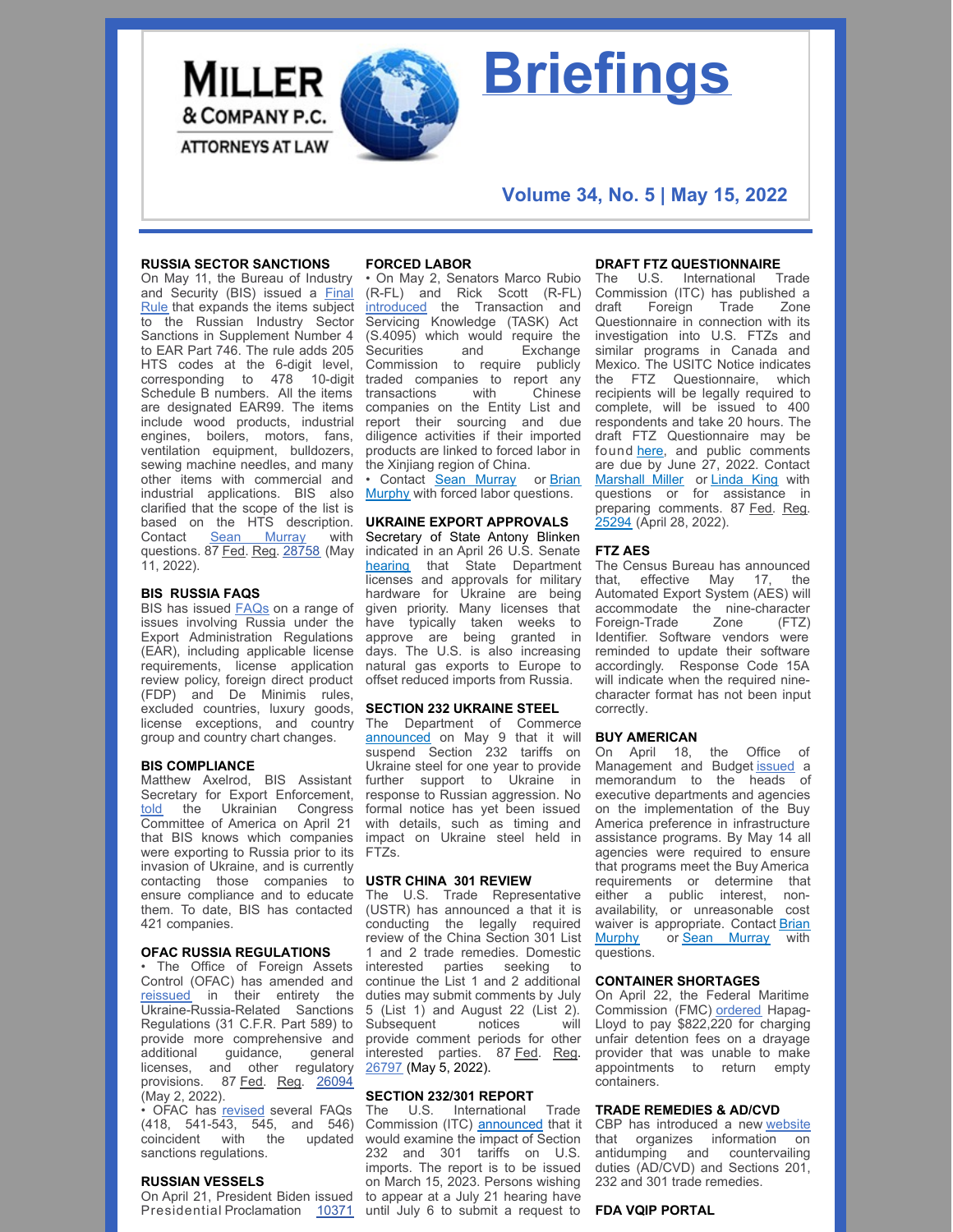

# **Briefings**

### **Volume 34, No. 5 | May 15, 2022**

#### **RUSSIA SECTOR SANCTIONS**

On May 11, the Bureau of Industry and Security (BIS) issued a Final Rule that [expands](https://nam10.safelinks.protection.outlook.com/?url=https%3A%2F%2Fpublic-inspection.federalregister.gov%2F2022-10099.pdf&data=05%7C01%7CAwalker%40millerco.com%7Cd7d3ebcb09284227201008da32aecbda%7C73a168550ba84f79a774e89e3694b602%7C1%7C0%7C637878023571198790%7CUnknown%7CTWFpbGZsb3d8eyJWIjoiMC4wLjAwMDAiLCJQIjoiV2luMzIiLCJBTiI6Ik1haWwiLCJXVCI6Mn0%3D%7C3000%7C%7C%7C&sdata=MisHpMmZhCqnvptIernlUfYL2i9Wju3wRyVqlAwxsDE%3D&reserved=0) the items subject to the Russian Industry Sector Sanctions in Supplement Number 4 to EAR Part 746. The rule adds 205 HTS codes at the 6-digit level, corresponding to 478 10-digit Schedule B numbers. All the items are designated EAR99. The items include wood products, industrial engines, boilers, motors, fans, ventilation equipment, bulldozers, sewing machine needles, and many other items with commercial and industrial applications. BIS also clarified that the scope of the list is based on the HTS description. Contact **Sean [Murray](mailto:smurray@millerco.com)** with questions. 87 Fed. Reg. [28758](https://www.govinfo.gov/content/pkg/FR-2022-05-11/pdf/FR-2022-05-11.pdf) (May 11, 2022).

#### **BIS RUSSIA FAQS**

BIS has issued **[FAQs](https://nam10.safelinks.protection.outlook.com/?url=https%3A%2F%2Fwww.bis.doc.gov%2Findex.php%2Fpolicy-guidance%2Fcountry-guidance%2Frussia-belarus&data=05%7C01%7CAwalker%40millerco.com%7C9f6c80d7105548b70ec608da320e1b10%7C73a168550ba84f79a774e89e3694b602%7C1%7C0%7C637877333415593761%7CUnknown%7CTWFpbGZsb3d8eyJWIjoiMC4wLjAwMDAiLCJQIjoiV2luMzIiLCJBTiI6Ik1haWwiLCJXVCI6Mn0%3D%7C3000%7C%7C%7C&sdata=OCkd5G80Uy63jchfxcRuHmjy7ot0cy%2B5JvUeJXgm4Tc%3D&reserved=0)** on a range of issues involving Russia under the Export Administration Regulations (EAR), including applicable license requirements, license application review policy, foreign direct product (FDP) and De Minimis rules, excluded countries, luxury goods, license exceptions, and country group and country chart changes.

#### **BIS COMPLIANCE**

Matthew Axelrod, BIS Assistant Secretary for Export Enforcement, [told](https://nam10.safelinks.protection.outlook.com/?url=https%3A%2F%2Fbis.doc.gov%2Findex.php%2Fdocuments%2Fabout-bis%2Fnewsroom%2Fpress-releases%2F2968-2022-04-21-bis-as-axelrod-remarks-to-ukrainian-congress-committee-of-america-illinois-div%2Ffile&data=05%7C01%7CAwalker%40millerco.com%7C5405f200c17946fc480b08da2c7c1511%7C73a168550ba84f79a774e89e3694b602%7C1%7C0%7C637871208690570558%7CUnknown%7CTWFpbGZsb3d8eyJWIjoiMC4wLjAwMDAiLCJQIjoiV2luMzIiLCJBTiI6Ik1haWwiLCJXVCI6Mn0%3D%7C3000%7C%7C%7C&sdata=7Wd%2BJkpgjE1GmnFObBPhwupYpjVpvljKEpdo1c0qdXY%3D&reserved=0) the Ukrainian Congress Committee of America on April 21 that BIS knows which companies were exporting to Russia prior to its invasion of Ukraine, and is currently contacting those companies to ensure compliance and to educate them. To date, BIS has contacted 421 companies.

#### **OFAC RUSSIA REGULATIONS**

• The Office of Foreign Assets Control (OFAC) has amended and [reissued](https://nam10.safelinks.protection.outlook.com/?url=https%3A%2F%2Fhome.treasury.gov%2Fsystem%2Ffiles%2F126%2F20220429_ukraine_regulations.pdf&data=05%7C01%7CAwalker%40millerco.com%7C5405f200c17946fc480b08da2c7c1511%7C73a168550ba84f79a774e89e3694b602%7C1%7C0%7C637871208690414348%7CUnknown%7CTWFpbGZsb3d8eyJWIjoiMC4wLjAwMDAiLCJQIjoiV2luMzIiLCJBTiI6Ik1haWwiLCJXVCI6Mn0%3D%7C3000%7C%7C%7C&sdata=Gdz9ECQzSbuHQEGeye8tUSgZyivx6n8ehNs%2BCIvBIyE%3D&reserved=0) in their entirety the Ukraine-Russia-Related Sanctions Regulations (31 C.F.R. Part 589) to provide more comprehensive and additional guidance, general licenses, and other regulatory provisions. 87 Fed. Reg. [26094](https://www.govinfo.gov/content/pkg/FR-2022-05-02/pdf/FR-2022-05-02.pdf) (May 2, 2022).

• OFAC has [revised](https://nam10.safelinks.protection.outlook.com/?url=https%3A%2F%2Fhome.treasury.gov%2Fpolicy-issues%2Ffinancial-sanctions%2Ffaqs%2Fupdated%2F2022-04-29&data=05%7C01%7CAwalker%40millerco.com%7C5405f200c17946fc480b08da2c7c1511%7C73a168550ba84f79a774e89e3694b602%7C1%7C0%7C637871208690414348%7CUnknown%7CTWFpbGZsb3d8eyJWIjoiMC4wLjAwMDAiLCJQIjoiV2luMzIiLCJBTiI6Ik1haWwiLCJXVCI6Mn0%3D%7C3000%7C%7C%7C&sdata=2hhm78Sax1fzoDxPEsXmqHCkg4baCRqtOfOWAkK0g6o%3D&reserved=0) several FAQs (418, 541-543, 545, and 546) coincident with the updated sanctions regulations.

#### **RUSSIAN VESSELS**

On April 21, President Biden issued Presidential [Proclamation](https://nam10.safelinks.protection.outlook.com/?url=https%3A%2F%2Fwww.whitehouse.gov%2Fbriefing-room%2Fpresidential-actions%2F2022%2F04%2F21%2Fa-proclamation-on-the-declaration-of-national-emergency-and-invocation-of-emergency-authority-relating-to-the-regulation-of-the-anchorage-and-movement-of-russian-affiliated-vessels-to-united-states-po%2F&data=05%7C01%7CAwalker%40millerco.com%7C5405f200c17946fc480b08da2c7c1511%7C73a168550ba84f79a774e89e3694b602%7C1%7C0%7C637871208690414348%7CUnknown%7CTWFpbGZsb3d8eyJWIjoiMC4wLjAwMDAiLCJQIjoiV2luMzIiLCJBTiI6Ik1haWwiLCJXVCI6Mn0%3D%7C3000%7C%7C%7C&sdata=LMQ3SyKYOnpE0N8AIGIft9c0qSN6suqGfA5xd92DB%2FI%3D&reserved=0) [10371](https://www.whitehouse.gov/briefing-room/presidential-actions/2022/04/21/a-proclamation-on-the-declaration-of-national-emergency-and-invocation-of-emergency-authority-relating-to-the-regulation-of-the-anchorage-and-movement-of-russian-affiliated-vessels-to-united-states-po/) until July 6 to submit a request to

#### **FORCED LABOR**

• On May 2, Senators Marco Rubio (R-FL) and Rick Scott (R-FL) [introduced](https://nam10.safelinks.protection.outlook.com/?url=https%3A%2F%2Fwww.rubio.senate.gov%2Fpublic%2F_cache%2Ffiles%2Ff227add1-25a9-4995-a5ab-7d7558788f43%2FE09AD49160148A5A9D9E84AE9AE27060.task-act-bill-text.pdf&data=05%7C01%7CAwalker%40millerco.com%7C8352ad7b88aa49dd5b0008da3432b61d%7C73a168550ba84f79a774e89e3694b602%7C1%7C0%7C637879689657075445%7CUnknown%7CTWFpbGZsb3d8eyJWIjoiMC4wLjAwMDAiLCJQIjoiV2luMzIiLCJBTiI6Ik1haWwiLCJXVCI6Mn0%3D%7C3000%7C%7C%7C&sdata=DMPoO37EQB6vpIxQgl4wSHVo1YZk0ZstlI4ziQxnM0k%3D&reserved=0) the Transaction and Servicing Knowledge (TASK) Act (S.4095) which would require the<br>Securities and Exchange Securities and Commission to require publicly traded companies to report any transactions with Chinese companies on the Entity List and report their sourcing and due diligence activities if their imported products are linked to forced labor in the Xinjiang region of China.

• Contact Sean [Murray](mailto:smurray@millerco.com) or [Brian](mailto:bmurphy@millerco.com) [Murphy](mailto:bmurphy@millerco.com) with forced labor questions.

#### **UKRAINE EXPORT APPROVALS**

Secretary of State Antony Blinken indicated in an April 26 U.S. Senate [hearing](https://nam10.safelinks.protection.outlook.com/?url=https%3A%2F%2Fwww.youtube.com%2Fwatch%3Fv%3D03VC_dRSCsk&data=05%7C01%7CAwalker%40millerco.com%7Cc6210d6089184242f88208da2c71a1f3%7C73a168550ba84f79a774e89e3694b602%7C1%7C0%7C637871163804244095%7CUnknown%7CTWFpbGZsb3d8eyJWIjoiMC4wLjAwMDAiLCJQIjoiV2luMzIiLCJBTiI6Ik1haWwiLCJXVCI6Mn0%3D%7C3000%7C%7C%7C&sdata=95sNUAwVZfMo%2F6rZlX%2F9%2Bv6SNwvepCSHkfc09TsbtrE%3D&reserved=0) that State Department licenses and approvals for military hardware for Ukraine are being given priority. Many licenses that have typically taken weeks to approve are being granted in days. The U.S. is also increasing natural gas exports to Europe to offset reduced imports from Russia.

#### **SECTION 232 UKRAINE STEEL**

The Department of Commerce [announced](https://nam10.safelinks.protection.outlook.com/?url=https%3A%2F%2Fwww.commerce.gov%2Fnews%2Fpress-releases%2F2022%2F05%2Fraimondo-announces-temporary-suspension-232-tariffs-ukraine-steel&data=05%7C01%7Ckrandol%40millerco.com%7Cef76018a86454786a47f08da36acfb3a%7C73a168550ba84f79a774e89e3694b602%7C1%7C0%7C637882413835991968%7CUnknown%7CTWFpbGZsb3d8eyJWIjoiMC4wLjAwMDAiLCJQIjoiV2luMzIiLCJBTiI6Ik1haWwiLCJXVCI6Mn0%3D%7C3000%7C%7C%7C&sdata=rFxfjAtV0uaa3OW36w%2FlkgxzlRfwQeb2nISo4XAkyFI%3D&reserved=0) on May 9 that it will suspend Section 232 tariffs on Ukraine steel for one year to provide further support to Ukraine in response to Russian aggression. No formal notice has yet been issued with details, such as timing and impact on Ukraine steel held in FTZs.

#### **USTR CHINA 301 REVIEW**

The U.S. Trade Representative (USTR) has announced a that it is conducting the legally required review of the China Section 301 List 1 and 2 trade remedies. Domestic interested parties seeking to continue the List 1 and 2 additional duties may submit comments by July 5 (List 1) and August 22 (List 2). Subsequent notices will provide comment periods for other interested parties. 87 Fed. Reg. [26797](https://www.venable.com/insights/publications/2022/05/section-301-update-ustr-announces-initiation) (May 5, 2022).

#### **SECTION 232/301 REPORT**

The U.S. International Trade Commission (ITC) [announced](https://nam10.safelinks.protection.outlook.com/?url=https%3A%2F%2Fwww.usitc.gov%2Fpress_room%2Fnews_release%2F2022%2Fer0505ll1927.htm&data=05%7C01%7CAwalker%40millerco.com%7C7736f22d2e154c9ee9e008da32abb10e%7C73a168550ba84f79a774e89e3694b602%7C1%7C0%7C637878010252674004%7CUnknown%7CTWFpbGZsb3d8eyJWIjoiMC4wLjAwMDAiLCJQIjoiV2luMzIiLCJBTiI6Ik1haWwiLCJXVCI6Mn0%3D%7C3000%7C%7C%7C&sdata=oCYqA7YdRmSbB9ph6G5pP29zJPFGPArDGocX%2FYXNmwI%3D&reserved=0) that it would examine the impact of Section 232 and 301 tariffs on U.S. imports. The report is to be issued on March 15, 2023. Persons wishing to appear at a July 21 hearing have

#### **DRAFT FTZ QUESTIONNAIRE**

The U.S. International Trade Commission (ITC) has published a draft Foreign Trade Zone Questionnaire in connection with its investigation into U.S. FTZs and similar programs in Canada and Mexico. The USITC Notice indicates the FTZ Questionnaire, which recipients will be legally required to complete, will be issued to 400 respondents and take 20 hours. The draft FTZ Questionnaire may be found [here](https://nam10.safelinks.protection.outlook.com/?url=https%3A%2F%2Fwww.govinfo.gov%2Fcontent%2Fpkg%2FFR-2022-04-28%2Fpdf%2F2022-09115.pdf&data=05%7C01%7Ckrandol%40millerco.com%7Cef76018a86454786a47f08da36acfb3a%7C73a168550ba84f79a774e89e3694b602%7C1%7C0%7C637882413835991968%7CUnknown%7CTWFpbGZsb3d8eyJWIjoiMC4wLjAwMDAiLCJQIjoiV2luMzIiLCJBTiI6Ik1haWwiLCJXVCI6Mn0%3D%7C3000%7C%7C%7C&sdata=zpM5tFb7wMt3v1yQT7%2Fz2jBg3WpBF%2B64PEpf7AnSHKA%3D&reserved=0), and public comments are due by June 27, 2022. Contact [Marshall](mailto:smurray@millerco.com) Miller or [Linda](mailto:lking@millerco.com) King with questions or for assistance in preparing comments. 87 Fed. Reg. [25294](https://nam10.safelinks.protection.outlook.com/?url=https%3A%2F%2Fwww.govinfo.gov%2Fcontent%2Fpkg%2FFR-2022-04-28%2Fpdf%2F2022-09115.pdf&data=05%7C01%7Ckrandol%40millerco.com%7Cef76018a86454786a47f08da36acfb3a%7C73a168550ba84f79a774e89e3694b602%7C1%7C0%7C637882413835991968%7CUnknown%7CTWFpbGZsb3d8eyJWIjoiMC4wLjAwMDAiLCJQIjoiV2luMzIiLCJBTiI6Ik1haWwiLCJXVCI6Mn0%3D%7C3000%7C%7C%7C&sdata=zpM5tFb7wMt3v1yQT7%2Fz2jBg3WpBF%2B64PEpf7AnSHKA%3D&reserved=0) (April 28, 2022).

#### **FTZ AES**

The Census Bureau has announced that, effective May 17, the Automated Export System (AES) will accommodate the nine-character Foreign-Trade Zone (FTZ) Identifier. Software vendors were reminded to update their software accordingly. Response Code 15A will indicate when the required ninecharacter format has not been input correctly.

#### **BUY AMERICAN**

On April 18, the Office of Management and Budget [issued](https://nam10.safelinks.protection.outlook.com/?url=https%3A%2F%2Fwww.whitehouse.gov%2Fwp-content%2Fuploads%2F2022%2F04%2FM-22-11.pdf&data=05%7C01%7CAwalker%40millerco.com%7C8352ad7b88aa49dd5b0008da3432b61d%7C73a168550ba84f79a774e89e3694b602%7C1%7C0%7C637879689656919250%7CUnknown%7CTWFpbGZsb3d8eyJWIjoiMC4wLjAwMDAiLCJQIjoiV2luMzIiLCJBTiI6Ik1haWwiLCJXVCI6Mn0%3D%7C3000%7C%7C%7C&sdata=F%2Brrn2%2F5%2FI%2BR3sVELOhYofi0ZlQLxu5eFLw%2Bm8IdHxI%3D&reserved=0) a memorandum to the heads of executive departments and agencies on the implementation of the Buy America preference in infrastructure assistance programs. By May 14 all agencies were required to ensure that programs meet the Buy America requirements or determine that either a public interest, nonavailability, or unreasonable cost waiver is [appropriate.](mailto:bmurphy@millerco.com) Contact Brian<br>Murphy or Sean Murray with or Sean [Murray](mailto:smurray@millerco.com) with questions.

#### **CONTAINER SHORTAGES**

On April 22, the Federal Maritime Commission (FMC) [ordered](https://nam10.safelinks.protection.outlook.com/?url=https%3A%2F%2Fwww2.fmc.gov%2Freadingroom%2Fdocs%2F21-09%2F21-09.InitialDecision.pdf%2F&data=05%7C01%7CAwalker%40millerco.com%7C8352ad7b88aa49dd5b0008da3432b61d%7C73a168550ba84f79a774e89e3694b602%7C1%7C0%7C637879689656919250%7CUnknown%7CTWFpbGZsb3d8eyJWIjoiMC4wLjAwMDAiLCJQIjoiV2luMzIiLCJBTiI6Ik1haWwiLCJXVCI6Mn0%3D%7C3000%7C%7C%7C&sdata=F0pSyVXSobGaJ3ol31pNDTaQrVIJMr2XPy84t913whw%3D&reserved=0) Hapag-Lloyd to pay \$822,220 for charging unfair detention fees on a drayage provider that was unable to make appointments to return empty containers.

#### **TRADE REMEDIES & AD/CVD**

CBP has introduced a new [website](https://nam10.safelinks.protection.outlook.com/?url=https%3A%2F%2Fcbptrade.force.com%2FADCVDTradeRemedies%2Fs%2F&data=05%7C01%7CAwalker%40millerco.com%7C0d93fac2f8724364bd7908da2d6055d3%7C73a168550ba84f79a774e89e3694b602%7C1%7C0%7C637872189020260548%7CUnknown%7CTWFpbGZsb3d8eyJWIjoiMC4wLjAwMDAiLCJQIjoiV2luMzIiLCJBTiI6Ik1haWwiLCJXVCI6Mn0%3D%7C3000%7C%7C%7C&sdata=BragUAdxUrgSzkFHEE%2Faz1BoJzmrAXi2K9gdhOC%2FQz8%3D&reserved=0) that organizes information on antidumping and countervailing duties (AD/CVD) and Sections 201, 232 and 301 trade remedies.

#### **FDA VQIP PORTAL**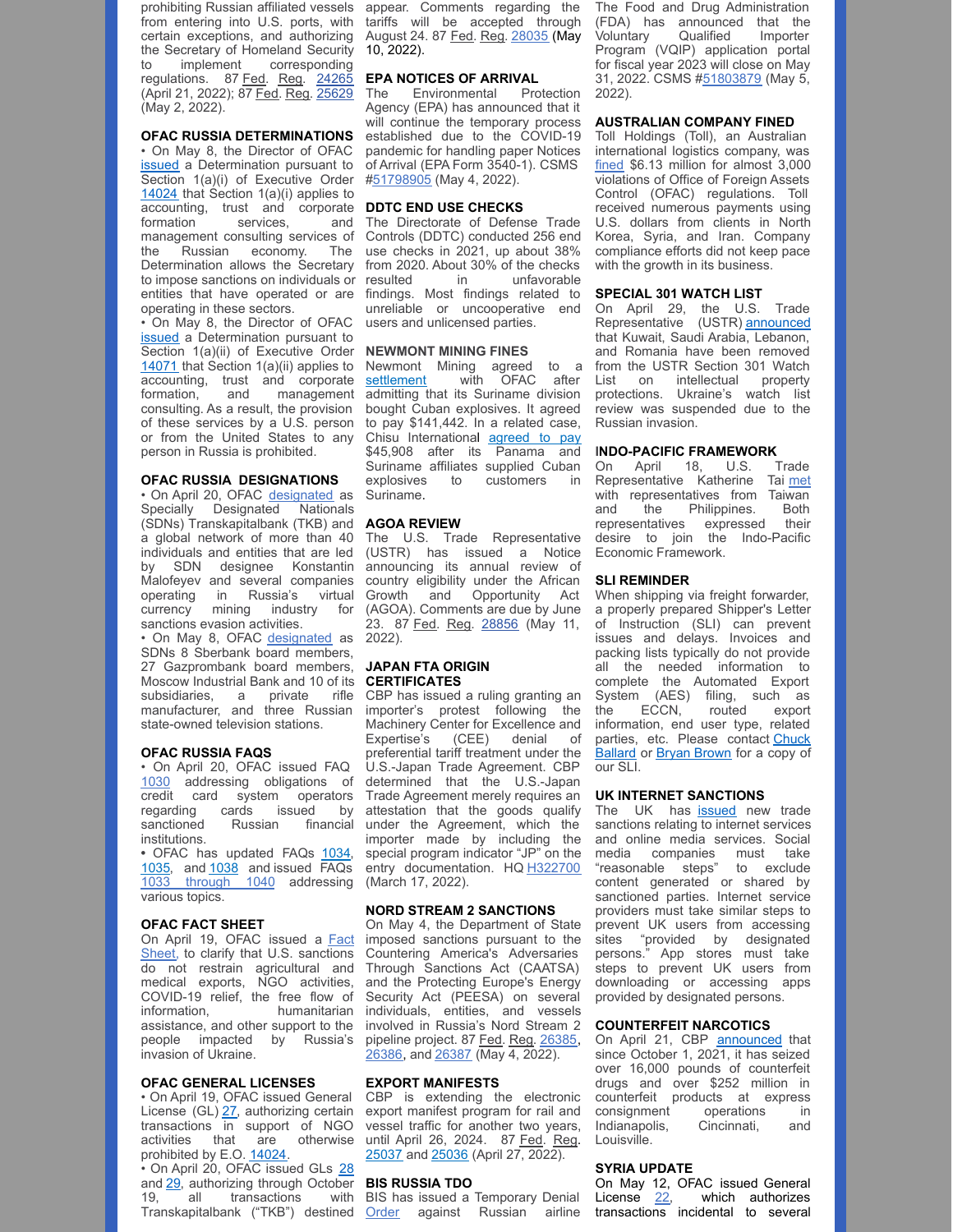prohibiting Russian affiliated vessels from entering into U.S. ports, with certain exceptions, and authorizing the Secretary of Homeland Security to implement corresponding regulations. 87 Fed. Reg. [24265](https://www.govinfo.gov/content/pkg/FR-2022-04-21/pdf/2022-08516.pdf) (April 21, 2022); 87 Fed. Reg. [25629](https://www.govinfo.gov/content/pkg/FR-2022-05-02/pdf/2022-09372.pdf) (May 2, 2022).

#### **OFAC RUSSIA DETERMINATIONS**

• On May 8, the Director of OFAC [issued](https://nam10.safelinks.protection.outlook.com/?url=https%3A%2F%2Fhome.treasury.gov%2Fsystem%2Ffiles%2F126%2Fdetermination_05082022_eo14024.pdf&data=05%7C01%7CAwalker%40millerco.com%7C9f6c80d7105548b70ec608da320e1b10%7C73a168550ba84f79a774e89e3694b602%7C1%7C0%7C637877333415749972%7CUnknown%7CTWFpbGZsb3d8eyJWIjoiMC4wLjAwMDAiLCJQIjoiV2luMzIiLCJBTiI6Ik1haWwiLCJXVCI6Mn0%3D%7C3000%7C%7C%7C&sdata=ezQNmGYuqaC3Sak4XGFcPJxXiHFkj%2BAT3Y%2BbIx%2FQ5JE%3D&reserved=0) a Determination pursuant to Section 1(a)(i) of Executive Order [14024](https://nam10.safelinks.protection.outlook.com/?url=https%3A%2F%2Fhome.treasury.gov%2Fsystem%2Ffiles%2F126%2F14024.pdf&data=05%7C01%7CAwalker%40millerco.com%7C9f6c80d7105548b70ec608da320e1b10%7C73a168550ba84f79a774e89e3694b602%7C1%7C0%7C637877333415749972%7CUnknown%7CTWFpbGZsb3d8eyJWIjoiMC4wLjAwMDAiLCJQIjoiV2luMzIiLCJBTiI6Ik1haWwiLCJXVCI6Mn0%3D%7C3000%7C%7C%7C&sdata=zJB42fXTLtHOfVLVOZRbM7MUZ4BQqX2EpvMNskazGiE%3D&reserved=0) that Section 1(a)(i) applies to accounting, trust and corporate **DDTC END USE CHECKS** formation services, management consulting services of the Russian economy. The Determination allows the Secretary to impose sanctions on individuals or entities that have operated or are operating in these sectors.

• On May 8, the Director of OFAC [issued](https://nam10.safelinks.protection.outlook.com/?url=https%3A%2F%2Fhome.treasury.gov%2Fsystem%2Ffiles%2F126%2Fdetermination_05082022_eo14071.pdf&data=05%7C01%7CAwalker%40millerco.com%7C9f6c80d7105548b70ec608da320e1b10%7C73a168550ba84f79a774e89e3694b602%7C1%7C0%7C637877333415749972%7CUnknown%7CTWFpbGZsb3d8eyJWIjoiMC4wLjAwMDAiLCJQIjoiV2luMzIiLCJBTiI6Ik1haWwiLCJXVCI6Mn0%3D%7C3000%7C%7C%7C&sdata=wTd3k4UotsC8Nes%2B7pWwmY%2BZIATKhbsyYqJfYV19vyI%3D&reserved=0) a Determination pursuant to Section 1(a)(ii) of Executive Order [14071](https://nam10.safelinks.protection.outlook.com/?url=https%3A%2F%2Fhome.treasury.gov%2Fsystem%2Ffiles%2F126%2F14071.pdf&data=05%7C01%7CAwalker%40millerco.com%7C9f6c80d7105548b70ec608da320e1b10%7C73a168550ba84f79a774e89e3694b602%7C1%7C0%7C637877333415749972%7CUnknown%7CTWFpbGZsb3d8eyJWIjoiMC4wLjAwMDAiLCJQIjoiV2luMzIiLCJBTiI6Ik1haWwiLCJXVCI6Mn0%3D%7C3000%7C%7C%7C&sdata=aMVxkr73XdvGHmJAUT56HzicoTDZCXeqYQI16UQbaik%3D&reserved=0) that Section 1(a)(ii) applies to accounting, trust and corporate formation, and management consulting. As a result, the provision of these services by a U.S. person or from the United States to any person in Russia is prohibited.

#### **OFAC RUSSIA DESIGNATIONS**

• On April 20, OFAC [designated](https://nam10.safelinks.protection.outlook.com/?url=https%3A%2F%2Fhome.treasury.gov%2Fnews%2Fpress-releases%2Fjy0731&data=05%7C01%7CAwalker%40millerco.com%7C5405f200c17946fc480b08da2c7c1511%7C73a168550ba84f79a774e89e3694b602%7C1%7C0%7C637871208690414348%7CUnknown%7CTWFpbGZsb3d8eyJWIjoiMC4wLjAwMDAiLCJQIjoiV2luMzIiLCJBTiI6Ik1haWwiLCJXVCI6Mn0%3D%7C3000%7C%7C%7C&sdata=JSLYr4JUS1pXIp4ltWlXsM3TvByerLNM8rlhrNssKEw%3D&reserved=0) as Specially Designated Nationals (SDNs) Transkapitalbank (TKB) and a global network of more than 40 individuals and entities that are led by SDN designee Konstantin Malofeyev and several companies operating in Russia's virtual currency mining industry for sanctions evasion activities.

• On May 8, OFAC [designated](https://nam10.safelinks.protection.outlook.com/?url=https%3A%2F%2Fhome.treasury.gov%2Fnews%2Fpress-releases%2Fjy0771&data=05%7C01%7CAwalker%40millerco.com%7C9f6c80d7105548b70ec608da320e1b10%7C73a168550ba84f79a774e89e3694b602%7C1%7C0%7C637877333415749972%7CUnknown%7CTWFpbGZsb3d8eyJWIjoiMC4wLjAwMDAiLCJQIjoiV2luMzIiLCJBTiI6Ik1haWwiLCJXVCI6Mn0%3D%7C3000%7C%7C%7C&sdata=ZUhrEw9FHdQnoURF5dUOW%2FRGCZMjJgB0HQAgmws53k0%3D&reserved=0) as SDNs 8 Sberbank board members, 27 Gazprombank board members, **JAPAN FTA ORIGIN** Moscow Industrial Bank and 10 of its manufacturer, and three Russian state-owned television stations.

#### **OFAC RUSSIA FAQS**

• On April 20, OFAC issued FAQ [1030](https://nam10.safelinks.protection.outlook.com/?url=https%3A%2F%2Fhome.treasury.gov%2Fpolicy-issues%2Ffinancial-sanctions%2Ffaqs%2F1030&data=05%7C01%7CAwalker%40millerco.com%7C5405f200c17946fc480b08da2c7c1511%7C73a168550ba84f79a774e89e3694b602%7C1%7C0%7C637871208690414348%7CUnknown%7CTWFpbGZsb3d8eyJWIjoiMC4wLjAwMDAiLCJQIjoiV2luMzIiLCJBTiI6Ik1haWwiLCJXVCI6Mn0%3D%7C3000%7C%7C%7C&sdata=eJ%2FpDlvFuAkdIdE9nI7mZcUANtkNVLC5G2UYnYrEcBQ%3D&reserved=0) addressing obligations of credit card system operators institutions.

**•** OFAC has updated FAQs [1034](https://nam10.safelinks.protection.outlook.com/?url=https%3A%2F%2Fhome.treasury.gov%2Fpolicy-issues%2Ffinancial-sanctions%2Ffaqs%2F1034&data=05%7C01%7Ckrandol%40millerco.com%7C54ae2a86d3c646f02a1a08da350a52af%7C73a168550ba84f79a774e89e3694b602%7C1%7C0%7C637880615704288010%7CUnknown%7CTWFpbGZsb3d8eyJWIjoiMC4wLjAwMDAiLCJQIjoiV2luMzIiLCJBTiI6Ik1haWwiLCJXVCI6Mn0%3D%7C3000%7C%7C%7C&sdata=Nk6mYw8rs%2FUPIczaG%2BaE8z6KzjGnizpU%2BU3Tl%2BpQkRU%3D&reserved=0), [1035](https://nam10.safelinks.protection.outlook.com/?url=https%3A%2F%2Fhome.treasury.gov%2Fpolicy-issues%2Ffinancial-sanctions%2Ffaqs%2F1035&data=05%7C01%7Ckrandol%40millerco.com%7C54ae2a86d3c646f02a1a08da350a52af%7C73a168550ba84f79a774e89e3694b602%7C1%7C0%7C637880615704288010%7CUnknown%7CTWFpbGZsb3d8eyJWIjoiMC4wLjAwMDAiLCJQIjoiV2luMzIiLCJBTiI6Ik1haWwiLCJXVCI6Mn0%3D%7C3000%7C%7C%7C&sdata=i%2FnqAz2kmtjgID5oDv9p9rtzeyeFslrhzh%2BquMBr4rk%3D&reserved=0), and [1038](https://nam10.safelinks.protection.outlook.com/?url=https%3A%2F%2Fhome.treasury.gov%2Fpolicy-issues%2Ffinancial-sanctions%2Ffaqs%2F1038&data=05%7C01%7Ckrandol%40millerco.com%7C54ae2a86d3c646f02a1a08da350a52af%7C73a168550ba84f79a774e89e3694b602%7C1%7C0%7C637880615704288010%7CUnknown%7CTWFpbGZsb3d8eyJWIjoiMC4wLjAwMDAiLCJQIjoiV2luMzIiLCJBTiI6Ik1haWwiLCJXVCI6Mn0%3D%7C3000%7C%7C%7C&sdata=F485oVbPUuLbWSTogtZtnIKvduGZWjwj6OuN73VduKM%3D&reserved=0) and issued FAQs 1033 [through](https://nam10.safelinks.protection.outlook.com/?url=https%3A%2F%2Fhome.treasury.gov%2Fpolicy-issues%2Ffinancial-sanctions%2Ffaqs%2Fadded%2F2022-05-08&data=05%7C01%7CAwalker%40millerco.com%7C9f6c80d7105548b70ec608da320e1b10%7C73a168550ba84f79a774e89e3694b602%7C1%7C0%7C637877333415749972%7CUnknown%7CTWFpbGZsb3d8eyJWIjoiMC4wLjAwMDAiLCJQIjoiV2luMzIiLCJBTiI6Ik1haWwiLCJXVCI6Mn0%3D%7C3000%7C%7C%7C&sdata=S2827W2IHFFYFwWt%2F0SlvDIECbcw2J8jbkevw81J4eQ%3D&reserved=0) 1040 addressing various topics.

#### **OFAC FACT SHEET**

On April 19, OFAC issued a Fact Sheet, to clarify that U.S. [sanctions](https://nam10.safelinks.protection.outlook.com/?url=https%3A%2F%2Fhome.treasury.gov%2Fsystem%2Ffiles%2F126%2Frussia_fact_sheet_20220419.pdf&data=05%7C01%7CAwalker%40millerco.com%7C5405f200c17946fc480b08da2c7c1511%7C73a168550ba84f79a774e89e3694b602%7C1%7C0%7C637871208690414348%7CUnknown%7CTWFpbGZsb3d8eyJWIjoiMC4wLjAwMDAiLCJQIjoiV2luMzIiLCJBTiI6Ik1haWwiLCJXVCI6Mn0%3D%7C3000%7C%7C%7C&sdata=Gjw2%2FdkUmkY4dEvgkBXELOaIHm7%2F9fX6nqoLP7FgA7Y%3D&reserved=0) do not restrain agricultural and medical exports, NGO activities, COVID-19 relief, the free flow of<br>information, humanitarian humanitarian assistance, and other support to the people impacted by Russia's invasion of Ukraine.

#### **OFAC GENERAL LICENSES**

• On April 19, OFAC issued General License (GL) [27](https://nam10.safelinks.protection.outlook.com/?url=https%3A%2F%2Fhome.treasury.gov%2Fsystem%2Ffiles%2F126%2Frussia_gl27.pdf&data=05%7C01%7CAwalker%40millerco.com%7C5405f200c17946fc480b08da2c7c1511%7C73a168550ba84f79a774e89e3694b602%7C1%7C0%7C637871208690414348%7CUnknown%7CTWFpbGZsb3d8eyJWIjoiMC4wLjAwMDAiLCJQIjoiV2luMzIiLCJBTiI6Ik1haWwiLCJXVCI6Mn0%3D%7C3000%7C%7C%7C&sdata=Xp8qaTJGl9YabF6JyalF1E88VJLrOT9uHbuWbgYE%2B5w%3D&reserved=0), authorizing certain transactions in support of NGO activities that are otherwise prohibited by E.O. [14024](https://nam10.safelinks.protection.outlook.com/?url=https%3A%2F%2Fhome.treasury.gov%2Fsystem%2Ffiles%2F126%2F14024.pdf&data=05%7C01%7CAwalker%40millerco.com%7C5405f200c17946fc480b08da2c7c1511%7C73a168550ba84f79a774e89e3694b602%7C1%7C0%7C637871208690414348%7CUnknown%7CTWFpbGZsb3d8eyJWIjoiMC4wLjAwMDAiLCJQIjoiV2luMzIiLCJBTiI6Ik1haWwiLCJXVCI6Mn0%3D%7C3000%7C%7C%7C&sdata=TxzM2MvReNPgYa9%2BU1zTWNbSVD6Sk0Z35oOI2eksBDc%3D&reserved=0).

• On April 20, OFAC issued GLs [28](https://nam10.safelinks.protection.outlook.com/?url=https%3A%2F%2Fhome.treasury.gov%2Fsystem%2Ffiles%2F126%2Frussia_gl28.pdf&data=05%7C01%7CAwalker%40millerco.com%7C5405f200c17946fc480b08da2c7c1511%7C73a168550ba84f79a774e89e3694b602%7C1%7C0%7C637871208690570558%7CUnknown%7CTWFpbGZsb3d8eyJWIjoiMC4wLjAwMDAiLCJQIjoiV2luMzIiLCJBTiI6Ik1haWwiLCJXVCI6Mn0%3D%7C3000%7C%7C%7C&sdata=%2BGYwM9zpABPnFekFYNDSdPbEn9tr84DmbnXwqqqYHl4%3D&reserved=0) and [29](https://nam10.safelinks.protection.outlook.com/?url=https%3A%2F%2Fhome.treasury.gov%2Fsystem%2Ffiles%2F126%2Frussia_gl29_0.pdf&data=05%7C01%7CAwalker%40millerco.com%7C5405f200c17946fc480b08da2c7c1511%7C73a168550ba84f79a774e89e3694b602%7C1%7C0%7C637871208690570558%7CUnknown%7CTWFpbGZsb3d8eyJWIjoiMC4wLjAwMDAiLCJQIjoiV2luMzIiLCJBTiI6Ik1haWwiLCJXVCI6Mn0%3D%7C3000%7C%7C%7C&sdata=0vBWKaFXRn6xGmniM1T5GmXMyM9WrBgnqUN%2BR%2Bwg4QU%3D&reserved=0), authorizing through October 19, all transactions with BIS has issued a Temporary Denial

appear. Comments regarding the tariffs will be accepted through August 24. 87 Fed. Reg. [28035](https://www.govinfo.gov/content/pkg/FR-2022-05-10/pdf/FR-2022-05-10.pdf) (May 10, 2022).

#### **EPA NOTICES OF ARRIVAL**

The Environmental Protection Agency (EPA) has announced that it will continue the temporary process established due to the COVID-19 pandemic for handling paper Notices of Arrival (EPA Form 3540-1). CSMS [#51798905](https://nam10.safelinks.protection.outlook.com/?url=https%3A%2F%2Fcontent.govdelivery.com%2Fbulletins%2Fgd%2FUSDHSCBP-3166379%3Fwgt_ref%3DUSDHSCBP_WIDGET_2&data=05%7C01%7CAwalker%40millerco.com%7C8352ad7b88aa49dd5b0008da3432b61d%7C73a168550ba84f79a774e89e3694b602%7C1%7C0%7C637879689657075445%7CUnknown%7CTWFpbGZsb3d8eyJWIjoiMC4wLjAwMDAiLCJQIjoiV2luMzIiLCJBTiI6Ik1haWwiLCJXVCI6Mn0%3D%7C3000%7C%7C%7C&sdata=YnUXt9ulBqkeCNHxd955GD1eB3Dcf2fKkeYl%2FtryOVA%3D&reserved=0) (May 4, 2022).

and The Directorate of Defense Trade Controls (DDTC) conducted 256 end use checks in 2021, up about 38% from 2020. About 30% of the checks<br>resulted in unfavorable in unfavorable findings. Most findings related to unreliable or uncooperative end users and unlicensed parties.

#### **NEWMONT MINING FINES**

Newmont Mining agreed to a settlement with OFAC after admitting that its Suriname division bought Cuban explosives. It agreed to pay \$141,442. In a related case, Chisu International [agreed](https://nam10.safelinks.protection.outlook.com/?url=https%3A%2F%2Fhome.treasury.gov%2Fsystem%2Ffiles%2F126%2F20220421_chisu.pdf&data=05%7C01%7CAwalker%40millerco.com%7C5d9ac49fdc86422ce51c08da23ff315c%7C73a168550ba84f79a774e89e3694b602%7C1%7C0%7C637861876189840653%7CUnknown%7CTWFpbGZsb3d8eyJWIjoiMC4wLjAwMDAiLCJQIjoiV2luMzIiLCJBTiI6Ik1haWwiLCJXVCI6Mn0%3D%7C3000%7C%7C%7C&sdata=VpZb1B1nKU3iencWzDwKyiT51V4gqOK55GQ7Xo9H7UI%3D&reserved=0) to pay \$45,908 after its Panama and Suriname affiliates supplied Cuban explosives to customers in Suriname.

#### **AGOA REVIEW**

The U.S. Trade Representative (USTR) has issued a Notice announcing its annual review of country eligibility under the African Growth and Opportunity Act (AGOA). Comments are due by June 23. 87 Fed. Reg. [28856](https://www.govinfo.gov/content/pkg/FR-2022-05-11/pdf/FR-2022-05-11.pdf) (May 11, 2022).

## **CERTIFICATES**

subsidiaries, a private rifle CBP has issued a ruling granting an regarding cards issued by attestation that the goods qualify sanctioned Russian financial under the Agreement, which the importer's protest following the Machinery Center for Excellence and Expertise's (CEE) denial of preferential tariff treatment under the U.S.-Japan Trade Agreement. CBP determined that the U.S.-Japan Trade Agreement merely requires an importer made by including the special program indicator "JP" on the entry documentation. HQ [H322700](https://nam10.safelinks.protection.outlook.com/?url=https%3A%2F%2Frulings.cbp.gov%2Fruling%2Fh322700&data=05%7C01%7CAwalker%40millerco.com%7C8352ad7b88aa49dd5b0008da3432b61d%7C73a168550ba84f79a774e89e3694b602%7C1%7C0%7C637879689656919250%7CUnknown%7CTWFpbGZsb3d8eyJWIjoiMC4wLjAwMDAiLCJQIjoiV2luMzIiLCJBTiI6Ik1haWwiLCJXVCI6Mn0%3D%7C3000%7C%7C%7C&sdata=6nlRXvrDpH8obcdcH8ucRmNUWK3yttIWSCQTH%2BCv3RQ%3D&reserved=0) (March 17, 2022).

#### **NORD STREAM 2 SANCTIONS**

On May 4, the Department of State imposed sanctions pursuant to the Countering America's Adversaries Through Sanctions Act (CAATSA) and the Protecting Europe's Energy Security Act (PEESA) on several individuals, entities, and vessels involved in Russia's Nord Stream 2 pipeline project. 87 Fed. Reg. [26385](https://nam10.safelinks.protection.outlook.com/?url=https%3A%2F%2Fwww.govinfo.gov%2Fcontent%2Fpkg%2FFR-2022-05-04%2Fpdf%2F2022-09564.pdf%3Futm_source%3Dfederalregister.gov%26utm_medium%3Demail%26utm_campaign%3Dsubscription%2Bmailing%2Blist&data=05%7C01%7CAwalker%40millerco.com%7C9501a7fdd3b144a9826f08da2e3905f6%7C73a168550ba84f79a774e89e3694b602%7C1%7C0%7C637873119704579401%7CUnknown%7CTWFpbGZsb3d8eyJWIjoiMC4wLjAwMDAiLCJQIjoiV2luMzIiLCJBTiI6Ik1haWwiLCJXVCI6Mn0%3D%7C3000%7C%7C%7C&sdata=85jPZ36tMMmaqfYYYjh0lXBFWb%2FDLOvG5QI4saJZv%2F0%3D&reserved=0), [26386](https://nam10.safelinks.protection.outlook.com/?url=https%3A%2F%2Fwww.govinfo.gov%2Fcontent%2Fpkg%2FFR-2022-05-04%2Fpdf%2F2022-09566.pdf%3Futm_source%3Dfederalregister.gov%26utm_medium%3Demail%26utm_campaign%3Dsubscription%2Bmailing%2Blist&data=05%7C01%7CAwalker%40millerco.com%7C9501a7fdd3b144a9826f08da2e3905f6%7C73a168550ba84f79a774e89e3694b602%7C1%7C0%7C637873119704579401%7CUnknown%7CTWFpbGZsb3d8eyJWIjoiMC4wLjAwMDAiLCJQIjoiV2luMzIiLCJBTiI6Ik1haWwiLCJXVCI6Mn0%3D%7C3000%7C%7C%7C&sdata=Kh%2FkBJHoKg6vVwnt3cuTDH6KNqiEihHN9WIoCVpnlIw%3D&reserved=0), and [26387](https://nam10.safelinks.protection.outlook.com/?url=https%3A%2F%2Fwww.govinfo.gov%2Fcontent%2Fpkg%2FFR-2022-05-04%2Fpdf%2F2022-09567.pdf%3Futm_source%3Dfederalregister.gov%26utm_medium%3Demail%26utm_campaign%3Dsubscription%2Bmailing%2Blist&data=05%7C01%7CAwalker%40millerco.com%7C9501a7fdd3b144a9826f08da2e3905f6%7C73a168550ba84f79a774e89e3694b602%7C1%7C0%7C637873119704579401%7CUnknown%7CTWFpbGZsb3d8eyJWIjoiMC4wLjAwMDAiLCJQIjoiV2luMzIiLCJBTiI6Ik1haWwiLCJXVCI6Mn0%3D%7C3000%7C%7C%7C&sdata=Q9ZMzEGxGa7%2FonuixwiKmXLTi3yNOVWPpEiGWVVgANY%3D&reserved=0) (May 4, 2022).

#### **EXPORT MANIFESTS**

CBP is extending the electronic export manifest program for rail and vessel traffic for another two years, until April 26, 2024. 87 Fed. Reg. [25037](https://nam10.safelinks.protection.outlook.com/?url=https%3A%2F%2Fwww.govinfo.gov%2Fcontent%2Fpkg%2FFR-2022-04-27%2Fpdf%2F2022-08954.pdf%3Futm_source%3Dfederalregister.gov%26utm_medium%3Demail%26utm_campaign%3Dsubscription%2Bmailing%2Blist&data=05%7C01%7CAwalker%40millerco.com%7Cb604289cea4247c523b808da2c5fb5ef%7C73a168550ba84f79a774e89e3694b602%7C1%7C0%7C637871086821821572%7CUnknown%7CTWFpbGZsb3d8eyJWIjoiMC4wLjAwMDAiLCJQIjoiV2luMzIiLCJBTiI6Ik1haWwiLCJXVCI6Mn0%3D%7C3000%7C%7C%7C&sdata=1SqOX4KBN%2FOQgEU1E7DAwkxZdROGOzUSomuEGeGLznM%3D&reserved=0) and [25036](https://nam10.safelinks.protection.outlook.com/?url=https%3A%2F%2Fwww.govinfo.gov%2Fcontent%2Fpkg%2FFR-2022-04-27%2Fpdf%2F2022-08955.pdf%3Futm_medium%3Demail%26utm_campaign%3Dsubscription%2Bmailing%2Blist%26utm_source%3Dfederalregister.gov&data=05%7C01%7CAwalker%40millerco.com%7Cb604289cea4247c523b808da2c5fb5ef%7C73a168550ba84f79a774e89e3694b602%7C1%7C0%7C637871086821821572%7CUnknown%7CTWFpbGZsb3d8eyJWIjoiMC4wLjAwMDAiLCJQIjoiV2luMzIiLCJBTiI6Ik1haWwiLCJXVCI6Mn0%3D%7C3000%7C%7C%7C&sdata=m%2FG%2BcZcY55mykFkwrUTL%2B9U2%2Bz2BEsRBVRo1HErARbI%3D&reserved=0) (April 27, 2022).

#### **BIS RUSSIA TDO**

Transkapitalbank ("TKB") destined [Order](https://nam10.safelinks.protection.outlook.com/?url=https%3A%2F%2Fefoia.bis.doc.gov%2Findex.php%2Fdocuments%2Fexport-violations%2Fexport-violations-2022%2F1368-e2720%2Ffile&data=05%7C01%7CAwalker%40millerco.com%7C5405f200c17946fc480b08da2c7c1511%7C73a168550ba84f79a774e89e3694b602%7C1%7C0%7C637871208690570558%7CUnknown%7CTWFpbGZsb3d8eyJWIjoiMC4wLjAwMDAiLCJQIjoiV2luMzIiLCJBTiI6Ik1haWwiLCJXVCI6Mn0%3D%7C3000%7C%7C%7C&sdata=a6H%2FjQZwuLOrmubCSc60qUkr7tuGCJX8oGi28dCYJII%3D&reserved=0) against Russian airline

The Food and Drug Administration (FDA) has announced that the Voluntary Qualified Importer Program (VQIP) application portal for fiscal year 2023 will close on May 31, 2022. CSMS [#51803879](https://nam10.safelinks.protection.outlook.com/?url=https%3A%2F%2Fcontent.govdelivery.com%2Fbulletins%2Fgd%2FUSDHSCBP-31676e7%3Fwgt_ref%3DUSDHSCBP_WIDGET_2&data=05%7C01%7CAwalker%40millerco.com%7C8352ad7b88aa49dd5b0008da3432b61d%7C73a168550ba84f79a774e89e3694b602%7C1%7C0%7C637879689657075445%7CUnknown%7CTWFpbGZsb3d8eyJWIjoiMC4wLjAwMDAiLCJQIjoiV2luMzIiLCJBTiI6Ik1haWwiLCJXVCI6Mn0%3D%7C3000%7C%7C%7C&sdata=9KuVAqdbY82vCuVIzcDRvngclzGiPjsc9X19AtSOjD8%3D&reserved=0) (May 5, 2022).

#### **AUSTRALIAN COMPANY FINED**

Toll Holdings (Toll), an Australian international logistics company, was [fined](https://nam10.safelinks.protection.outlook.com/?url=https%3A%2F%2Fhome.treasury.gov%2Fsystem%2Ffiles%2F126%2F20220425_toll.pdf&data=05%7C01%7CAwalker%40millerco.com%7Cce8c7089417643ca54f408da27bdd221%7C73a168550ba84f79a774e89e3694b602%7C1%7C0%7C637865993480131758%7CUnknown%7CTWFpbGZsb3d8eyJWIjoiMC4wLjAwMDAiLCJQIjoiV2luMzIiLCJBTiI6Ik1haWwiLCJXVCI6Mn0%3D%7C3000%7C%7C%7C&sdata=be9Wejnv8nyqZKCV4blR0uT0HkYzsi5WoR9A%2B6h32N0%3D&reserved=0) \$6.13 million for almost 3,000 violations of Office of Foreign Assets Control (OFAC) regulations. Toll received numerous payments using U.S. dollars from clients in North Korea, Syria, and Iran. Company compliance efforts did not keep pace with the growth in its business.

#### **SPECIAL 301 WATCH LIST**

On April 29, the U.S. Trade Representative (USTR) [announced](https://nam10.safelinks.protection.outlook.com/?url=https%3A%2F%2Fustr.gov%2Fsites%2Fdefault%2Ffiles%2FIssueAreas%2FIP%2F2022%2520Special%2520301%2520Report.pdf&data=05%7C01%7CAwalker%40millerco.com%7C8352ad7b88aa49dd5b0008da3432b61d%7C73a168550ba84f79a774e89e3694b602%7C1%7C0%7C637879689657075445%7CUnknown%7CTWFpbGZsb3d8eyJWIjoiMC4wLjAwMDAiLCJQIjoiV2luMzIiLCJBTiI6Ik1haWwiLCJXVCI6Mn0%3D%7C3000%7C%7C%7C&sdata=UjgKf74QkO1A6Z%2BC8sVmlMyCWuQjvoCyonVjX2FhYJo%3D&reserved=0) that Kuwait, Saudi Arabia, Lebanon, and Romania have been removed from the USTR Section 301 Watch List on intellectual property protections. Ukraine's watch list review was suspended due to the Russian invasion.

#### **INDO-PACIFIC FRAMEWORK**

On April 18, U.S. Trade Representative Katherine Tai [met](https://nam10.safelinks.protection.outlook.com/?url=https%3A%2F%2Fustr.gov%2Fabout-us%2Fpolicy-offices%2Fpress-office%2Fpress-releases%2F2022%2Fapril%2Freadout-ambassador-katherine-tais-virtual-meeting-taiwan-minister-without-portfolio-john-deng&data=05%7C01%7CAwalker%40millerco.com%7C8352ad7b88aa49dd5b0008da3432b61d%7C73a168550ba84f79a774e89e3694b602%7C1%7C0%7C637879689656919250%7CUnknown%7CTWFpbGZsb3d8eyJWIjoiMC4wLjAwMDAiLCJQIjoiV2luMzIiLCJBTiI6Ik1haWwiLCJXVCI6Mn0%3D%7C3000%7C%7C%7C&sdata=cKHDQZ1NNtGgG3jQOmEVhvAG4UC5LN7OdJb2FQhUoIY%3D&reserved=0) with representatives from Taiwan and the Philippines. Both representatives expressed their desire to join the Indo-Pacific Economic Framework.

#### **SLI REMINDER**

When shipping via freight forwarder, a properly prepared Shipper's Letter of Instruction (SLI) can prevent issues and delays. Invoices and packing lists typically do not provide all the needed information to complete the Automated Export System (AES) filing, such as the ECCN, routed export information, end user type, related [parties,](mailto:cballard@millercom.com) etc. Please contact Chuck Ballard or Bryan [Brown](mailto:bbrown@millerco.com) for a copy of our SLI.

#### **UK INTERNET SANCTIONS**

The UK has **[issued](https://nam10.safelinks.protection.outlook.com/?url=https%3A%2F%2Fwww.legislation.gov.uk%2Fuksi%2F2022%2F477%2Fpdfs%2Fuksiem_20220477_en.pdf&data=05%7C01%7CAwalker%40millerco.com%7C9f6c80d7105548b70ec608da320e1b10%7C73a168550ba84f79a774e89e3694b602%7C1%7C0%7C637877333415749972%7CUnknown%7CTWFpbGZsb3d8eyJWIjoiMC4wLjAwMDAiLCJQIjoiV2luMzIiLCJBTiI6Ik1haWwiLCJXVCI6Mn0%3D%7C3000%7C%7C%7C&sdata=RpnSPMyUjWgzk2xjgetgy%2F%2BTlpeOizjv9daan9lAW0g%3D&reserved=0)** new trade sanctions relating to internet services and online media services. Social media companies must take "reasonable steps" to exclude content generated or shared by sanctioned parties. Internet service providers must take similar steps to prevent UK users from accessing sites "provided by designated persons." App stores must take steps to prevent UK users from downloading or accessing apps provided by designated persons.

#### **COUNTERFEIT NARCOTICS**

On April 21, CBP [announced](https://nam10.safelinks.protection.outlook.com/?url=https%3A%2F%2Fwww.cbp.gov%2Fnewsroom%2Flocal-media-release%2Farea-port-cleveland-sees-record-number-drugs-counterfeits-16000-pounds&data=05%7C01%7CAwalker%40millerco.com%7C8352ad7b88aa49dd5b0008da3432b61d%7C73a168550ba84f79a774e89e3694b602%7C1%7C0%7C637879689656919250%7CUnknown%7CTWFpbGZsb3d8eyJWIjoiMC4wLjAwMDAiLCJQIjoiV2luMzIiLCJBTiI6Ik1haWwiLCJXVCI6Mn0%3D%7C3000%7C%7C%7C&sdata=ZLXl9GCVA%2FXUi3l3LsnwBMprrVpBZmTvyz6iWClH%2F9Q%3D&reserved=0) that since October 1, 2021, it has seized over 16,000 pounds of counterfeit drugs and over \$252 million in counterfeit products at express<br>consignment operations in consignment operations in Indianapolis, Cincinnati, and Louisville.

#### **SYRIA UPDATE**

On May 12, OFAC issued [General](https://nam10.safelinks.protection.outlook.com/?url=https%3A%2F%2Fhome.treasury.gov%2Fsystem%2Ffiles%2F126%2Fsyria_gl22.pdf&data=05%7C01%7CAwalker%40millerco.com%7Cac0f61f61ab04b05020108da3447f21c%7C73a168550ba84f79a774e89e3694b602%7C1%7C0%7C637879780857930124%7CUnknown%7CTWFpbGZsb3d8eyJWIjoiMC4wLjAwMDAiLCJQIjoiV2luMzIiLCJBTiI6Ik1haWwiLCJXVCI6Mn0%3D%7C3000%7C%7C%7C&sdata=ky2pQUAqK4chtw5QoytzrvOWB89FfcEh5oLF5lyKg3A%3D&reserved=0) [License](https://nam10.safelinks.protection.outlook.com/?url=https%3A%2F%2Fhome.treasury.gov%2Fsystem%2Ffiles%2F126%2Fsyria_gl22.pdf&data=05%7C01%7CAwalker%40millerco.com%7Cac0f61f61ab04b05020108da3447f21c%7C73a168550ba84f79a774e89e3694b602%7C1%7C0%7C637879780857930124%7CUnknown%7CTWFpbGZsb3d8eyJWIjoiMC4wLjAwMDAiLCJQIjoiV2luMzIiLCJBTiI6Ik1haWwiLCJXVCI6Mn0%3D%7C3000%7C%7C%7C&sdata=ky2pQUAqK4chtw5QoytzrvOWB89FfcEh5oLF5lyKg3A%3D&reserved=0) [22](https://nam10.safelinks.protection.outlook.com/?url=https%3A%2F%2Fhome.treasury.gov%2Fsystem%2Ffiles%2F126%2Fsyria_gl22.pdf&data=05%7C01%7CAwalker%40millerco.com%7Cac0f61f61ab04b05020108da3447f21c%7C73a168550ba84f79a774e89e3694b602%7C1%7C0%7C637879780857930124%7CUnknown%7CTWFpbGZsb3d8eyJWIjoiMC4wLjAwMDAiLCJQIjoiV2luMzIiLCJBTiI6Ik1haWwiLCJXVCI6Mn0%3D%7C3000%7C%7C%7C&sdata=ky2pQUAqK4chtw5QoytzrvOWB89FfcEh5oLF5lyKg3A%3D&reserved=0), which authorizes transactions incidental to several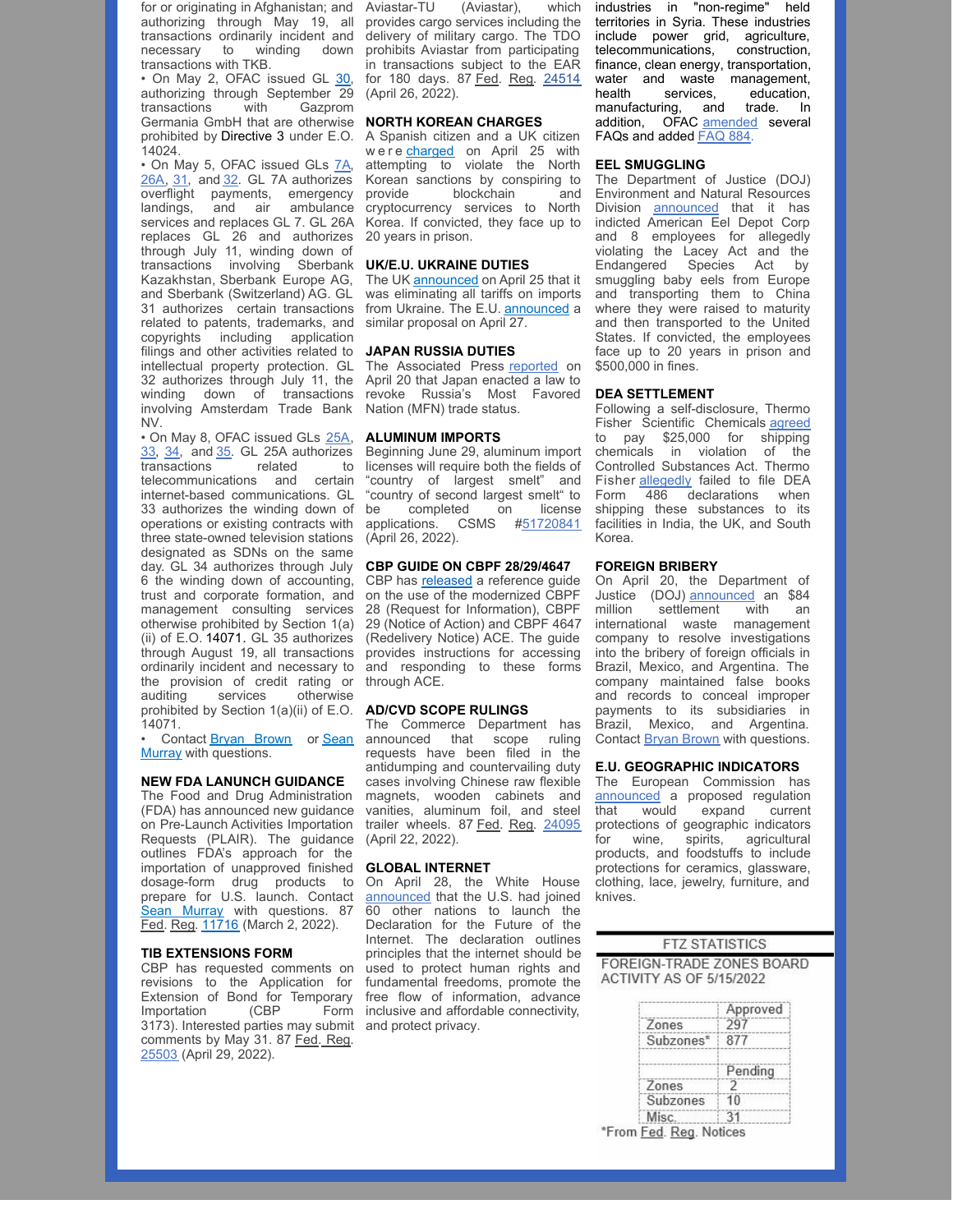for or originating in Afghanistan; and authorizing through May 19, all transactions ordinarily incident and necessary to winding down transactions with TKB.

• On May 2, OFAC issued GL [30](https://nam10.safelinks.protection.outlook.com/?url=https%3A%2F%2Fhome.treasury.gov%2Fsystem%2Ffiles%2F126%2Frussia_gl30_0.pdf&data=05%7C01%7CAwalker%40millerco.com%7C5405f200c17946fc480b08da2c7c1511%7C73a168550ba84f79a774e89e3694b602%7C1%7C0%7C637871208690570558%7CUnknown%7CTWFpbGZsb3d8eyJWIjoiMC4wLjAwMDAiLCJQIjoiV2luMzIiLCJBTiI6Ik1haWwiLCJXVCI6Mn0%3D%7C3000%7C%7C%7C&sdata=vWsvAUVfg7mi6hLR4mnobDzeeh4t9MrT6%2BqIgtIvMiY%3D&reserved=0), authorizing through September 29<br>transactions with Gazorom transactions Germania GmbH that are otherwise prohibited by [Directive](https://nam10.safelinks.protection.outlook.com/?url=https%3A%2F%2Fhome.treasury.gov%2Fsystem%2Ffiles%2F126%2Fnew_debt_and_equity_directive_3.pdf&data=05%7C01%7CAwalker%40millerco.com%7C5405f200c17946fc480b08da2c7c1511%7C73a168550ba84f79a774e89e3694b602%7C1%7C0%7C637871208690570558%7CUnknown%7CTWFpbGZsb3d8eyJWIjoiMC4wLjAwMDAiLCJQIjoiV2luMzIiLCJBTiI6Ik1haWwiLCJXVCI6Mn0%3D%7C3000%7C%7C%7C&sdata=mpKCBqeVvUpm9LfiEKNep53R2ITbvic9xUEhC7kUVxM%3D&reserved=0) 3 under E.O. 14024.

• On May 5, OFAC issued GLs [7A](https://nam10.safelinks.protection.outlook.com/?url=https%3A%2F%2Fhome.treasury.gov%2Fsystem%2Ffiles%2F126%2Frussia_gl7a.pdf&data=05%7C01%7CAwalker%40millerco.com%7C9f6c80d7105548b70ec608da320e1b10%7C73a168550ba84f79a774e89e3694b602%7C1%7C0%7C637877333415749972%7CUnknown%7CTWFpbGZsb3d8eyJWIjoiMC4wLjAwMDAiLCJQIjoiV2luMzIiLCJBTiI6Ik1haWwiLCJXVCI6Mn0%3D%7C3000%7C%7C%7C&sdata=FejHThqRzDYAj84yE1C9H0Ond5bZ6zAI3pDu6XWTOnI%3D&reserved=0), [26A](https://nam10.safelinks.protection.outlook.com/?url=https%3A%2F%2Fhome.treasury.gov%2Fsystem%2Ffiles%2F126%2Frussia_gl26a.pdf&data=05%7C01%7CAwalker%40millerco.com%7C9f6c80d7105548b70ec608da320e1b10%7C73a168550ba84f79a774e89e3694b602%7C1%7C0%7C637877333415749972%7CUnknown%7CTWFpbGZsb3d8eyJWIjoiMC4wLjAwMDAiLCJQIjoiV2luMzIiLCJBTiI6Ik1haWwiLCJXVCI6Mn0%3D%7C3000%7C%7C%7C&sdata=lot5cRckZGTzq8QraL3yrbo7nh1FH9bvj%2FkFoDpXvok%3D&reserved=0), [31](https://nam10.safelinks.protection.outlook.com/?url=https%3A%2F%2Fhome.treasury.gov%2Fsystem%2Ffiles%2F126%2Frussia_gl31.pdf&data=05%7C01%7CAwalker%40millerco.com%7C9f6c80d7105548b70ec608da320e1b10%7C73a168550ba84f79a774e89e3694b602%7C1%7C0%7C637877333415749972%7CUnknown%7CTWFpbGZsb3d8eyJWIjoiMC4wLjAwMDAiLCJQIjoiV2luMzIiLCJBTiI6Ik1haWwiLCJXVCI6Mn0%3D%7C3000%7C%7C%7C&sdata=iX6hnneh0cgHxXf3RrZdO7CX9Vpn5hpmPYjiMEpe%2Bow%3D&reserved=0), and [32](https://nam10.safelinks.protection.outlook.com/?url=https%3A%2F%2Fhome.treasury.gov%2Fsystem%2Ffiles%2F126%2Frussia_gl32.pdf&data=05%7C01%7CAwalker%40millerco.com%7C9f6c80d7105548b70ec608da320e1b10%7C73a168550ba84f79a774e89e3694b602%7C1%7C0%7C637877333415749972%7CUnknown%7CTWFpbGZsb3d8eyJWIjoiMC4wLjAwMDAiLCJQIjoiV2luMzIiLCJBTiI6Ik1haWwiLCJXVCI6Mn0%3D%7C3000%7C%7C%7C&sdata=9n9rdgCBeOkq0Z9FRqj667tBrQdgaCnULvqYjeliE2I%3D&reserved=0). GL 7A authorizes overflight payments, emergency landings, and air ambulance services and replaces GL 7. GL 26A replaces GL 26 and authorizes through July 11, winding down of transactions involving Sberbank Kazakhstan, Sberbank Europe AG, and Sberbank (Switzerland) AG. GL 31 authorizes certain transactions related to patents, trademarks, and copyrights including application filings and other activities related to intellectual property protection. GL 32 authorizes through July 11, the winding down of transactions involving Amsterdam Trade Bank NV.

• On May 8, OFAC issued GLs [25A](https://nam10.safelinks.protection.outlook.com/?url=https%3A%2F%2Fhome.treasury.gov%2Fsystem%2Ffiles%2F126%2Frussia_gl25a.pdf&data=05%7C01%7CAwalker%40millerco.com%7C9f6c80d7105548b70ec608da320e1b10%7C73a168550ba84f79a774e89e3694b602%7C1%7C0%7C637877333415749972%7CUnknown%7CTWFpbGZsb3d8eyJWIjoiMC4wLjAwMDAiLCJQIjoiV2luMzIiLCJBTiI6Ik1haWwiLCJXVCI6Mn0%3D%7C3000%7C%7C%7C&sdata=6U9zajOjzeW3%2BHoz%2BNXJUZCFXOJHBovOTUUfWq8upXg%3D&reserved=0), [33](https://nam10.safelinks.protection.outlook.com/?url=https%3A%2F%2Fhome.treasury.gov%2Fsystem%2Ffiles%2F126%2Frussia_gl33.pdf&data=05%7C01%7CAwalker%40millerco.com%7C9f6c80d7105548b70ec608da320e1b10%7C73a168550ba84f79a774e89e3694b602%7C1%7C0%7C637877333415749972%7CUnknown%7CTWFpbGZsb3d8eyJWIjoiMC4wLjAwMDAiLCJQIjoiV2luMzIiLCJBTiI6Ik1haWwiLCJXVCI6Mn0%3D%7C3000%7C%7C%7C&sdata=POV4gjht1A5qryvsoYU3OMR1zOiuq%2B%2ByS1BETkpuK5g%3D&reserved=0), [34](https://nam10.safelinks.protection.outlook.com/?url=https%3A%2F%2Fhome.treasury.gov%2Fsystem%2Ffiles%2F126%2Frussia_gl34.pdf&data=05%7C01%7CAwalker%40millerco.com%7C9f6c80d7105548b70ec608da320e1b10%7C73a168550ba84f79a774e89e3694b602%7C1%7C0%7C637877333415749972%7CUnknown%7CTWFpbGZsb3d8eyJWIjoiMC4wLjAwMDAiLCJQIjoiV2luMzIiLCJBTiI6Ik1haWwiLCJXVCI6Mn0%3D%7C3000%7C%7C%7C&sdata=BoIWLWvJIzMPB2rIgUJVG65dE3It7hfaL3a0nhXEGRQ%3D&reserved=0), and [35](https://nam10.safelinks.protection.outlook.com/?url=https%3A%2F%2Fhome.treasury.gov%2Fsystem%2Ffiles%2F126%2Frussia_gl35.pdf&data=05%7C01%7CAwalker%40millerco.com%7C9f6c80d7105548b70ec608da320e1b10%7C73a168550ba84f79a774e89e3694b602%7C1%7C0%7C637877333415749972%7CUnknown%7CTWFpbGZsb3d8eyJWIjoiMC4wLjAwMDAiLCJQIjoiV2luMzIiLCJBTiI6Ik1haWwiLCJXVCI6Mn0%3D%7C3000%7C%7C%7C&sdata=xevH2lzoEYFaJ3z0cA70zyEtFe6bThgJ3wBH3tacX3k%3D&reserved=0). GL 25A authorizes transactions related to telecommunications and certain internet-based communications. GL 33 authorizes the winding down of operations or existing contracts with three state-owned television stations designated as SDNs on the same day. GL 34 authorizes through July 6 the winding down of accounting, trust and corporate formation, and management consulting services otherwise prohibited by Section 1(a) (ii) of E.O. [14071](https://nam10.safelinks.protection.outlook.com/?url=https%3A%2F%2Fhome.treasury.gov%2Fsystem%2Ffiles%2F126%2F14071.pdf&data=05%7C01%7CAwalker%40millerco.com%7C9f6c80d7105548b70ec608da320e1b10%7C73a168550ba84f79a774e89e3694b602%7C1%7C0%7C637877333415749972%7CUnknown%7CTWFpbGZsb3d8eyJWIjoiMC4wLjAwMDAiLCJQIjoiV2luMzIiLCJBTiI6Ik1haWwiLCJXVCI6Mn0%3D%7C3000%7C%7C%7C&sdata=aMVxkr73XdvGHmJAUT56HzicoTDZCXeqYQI16UQbaik%3D&reserved=0). GL 35 authorizes through August 19, all transactions ordinarily incident and necessary to the provision of credit rating or<br>auditing services otherwise services otherwise prohibited by Section 1(a)(ii) of E.O. 14071.

• Contact Bryan [Brown](mailto:bbrown@millerco.com) or Sean Murray with [questions.](mailto:smurray@millerco.com)

#### **NEW FDA LANUNCH GUIDANCE**

The Food and Drug Administration (FDA) has announced new guidance on Pre-Launch Activities Importation Requests (PLAIR). The guidance outlines FDA's approach for the importation of unapproved finished dosage-form drug products to prepare for U.S. launch. Contact Sean [Murray](mailto:smurray@millerco.com) with questions. 87 Fed. Reg. [11716](https://nam10.safelinks.protection.outlook.com/?url=https%3A%2F%2Fwww.govinfo.gov%2Fcontent%2Fpkg%2FFR-2022-03-02%2Fpdf%2F2022-04155.pdf&data=05%7C01%7CAwalker%40millerco.com%7C8352ad7b88aa49dd5b0008da3432b61d%7C73a168550ba84f79a774e89e3694b602%7C1%7C0%7C637879689656919250%7CUnknown%7CTWFpbGZsb3d8eyJWIjoiMC4wLjAwMDAiLCJQIjoiV2luMzIiLCJBTiI6Ik1haWwiLCJXVCI6Mn0%3D%7C3000%7C%7C%7C&sdata=koyr%2F9FjiYk3Ob76LFv02v1Q9dV5PyeqEeMEVShR3fs%3D&reserved=0) (March 2, 2022).

#### **TIB EXTENSIONS FORM**

CBP has requested comments on revisions to the Application for Extension of Bond for Temporary<br>Importation (CBP Form Importation (CBP Form 3173). Interested parties may submit and protect privacy. comments by May 31. 87 Fed. Reg. [25503](https://nam10.safelinks.protection.outlook.com/?url=https%3A%2F%2Fwww.govinfo.gov%2Fcontent%2Fpkg%2FFR-2022-04-29%2Fpdf%2F2022-09221.pdf&data=05%7C01%7CAwalker%40millerco.com%7C8352ad7b88aa49dd5b0008da3432b61d%7C73a168550ba84f79a774e89e3694b602%7C1%7C0%7C637879689657075445%7CUnknown%7CTWFpbGZsb3d8eyJWIjoiMC4wLjAwMDAiLCJQIjoiV2luMzIiLCJBTiI6Ik1haWwiLCJXVCI6Mn0%3D%7C3000%7C%7C%7C&sdata=ypWTZabQrm269E0Y1nrhOGXWfVl%2B20l8umoBu%2B4JKKc%3D&reserved=0) (April 29, 2022).

Aviastar-TU (Aviastar), which provides cargo services including the delivery of military cargo. The TDO prohibits Aviastar from participating in transactions subject to the EAR for 180 days. 87 Fed. Reg. [24514](https://www.govinfo.gov/content/pkg/FR-2022-04-26/pdf/FR-2022-04-26.pdf) (April 26, 2022).

#### **NORTH KOREAN CHARGES**

A Spanish citizen and a UK citizen were [charged](https://nam10.safelinks.protection.outlook.com/?url=https%3A%2F%2Fwww.justice.gov%2Fopa%2Fpr%2Ftwo-european-citizens-charged-conspiring-us-citizen-assist-north-korea-evading-us-sanctions&data=05%7C01%7CAwalker%40millerco.com%7C720f69bfb92741c933ec08da2c6b652d%7C73a168550ba84f79a774e89e3694b602%7C1%7C0%7C637871137018260677%7CUnknown%7CTWFpbGZsb3d8eyJWIjoiMC4wLjAwMDAiLCJQIjoiV2luMzIiLCJBTiI6Ik1haWwiLCJXVCI6Mn0%3D%7C3000%7C%7C%7C&sdata=Q2cUzrusXQw%2FtYbwDrD1vDX4mRA%2FMlnzDs%2B0pmVIMYQ%3D&reserved=0) on April 25 with attempting to violate the North Korean sanctions by conspiring to provide blockchain and cryptocurrency services to North Korea. If convicted, they face up to 20 years in prison.

#### **UK/E.U. UKRAINE DUTIES**

The UK [announced](https://nam10.safelinks.protection.outlook.com/?url=https%3A%2F%2Fwww.gov.uk%2Fgovernment%2Fnews%2Fuk-announces-new-trade-measures-to-support-ukraine&data=05%7C01%7CAwalker%40millerco.com%7C52875b63076f491f06c408da2c72783c%7C73a168550ba84f79a774e89e3694b602%7C1%7C0%7C637871167401082346%7CUnknown%7CTWFpbGZsb3d8eyJWIjoiMC4wLjAwMDAiLCJQIjoiV2luMzIiLCJBTiI6Ik1haWwiLCJXVCI6Mn0%3D%7C3000%7C%7C%7C&sdata=uFKIfGCZUSI1JnmI58zp3fM%2BLmUsZ8myuqMEbAYG0ak%3D&reserved=0) on April 25 that it was eliminating all tariffs on imports from Ukraine. The E.U. [announced](https://nam10.safelinks.protection.outlook.com/?url=https%3A%2F%2Fec.europa.eu%2Fcommission%2Fpresscorner%2Fdetail%2Fen%2FIP_22_2671&data=05%7C01%7CAwalker%40millerco.com%7C52875b63076f491f06c408da2c72783c%7C73a168550ba84f79a774e89e3694b602%7C1%7C0%7C637871167401082346%7CUnknown%7CTWFpbGZsb3d8eyJWIjoiMC4wLjAwMDAiLCJQIjoiV2luMzIiLCJBTiI6Ik1haWwiLCJXVCI6Mn0%3D%7C3000%7C%7C%7C&sdata=HY24LXMT2Y7V%2FjIFQQoG9Yoy0bD9x5XfKyBRES9NM8c%3D&reserved=0) a similar proposal on April 27.

#### **JAPAN RUSSIA DUTIES**

The Associated Press [reported](https://nam10.safelinks.protection.outlook.com/?url=https%3A%2F%2Fapnews.com%2Farticle%2Frussia-ukraine-business-tokyo-europe-moscow-e264ff718a4c998fe66c67e687864b12&data=05%7C01%7CAwalker%40millerco.com%7C5405f200c17946fc480b08da2c7c1511%7C73a168550ba84f79a774e89e3694b602%7C1%7C0%7C637871208690570558%7CUnknown%7CTWFpbGZsb3d8eyJWIjoiMC4wLjAwMDAiLCJQIjoiV2luMzIiLCJBTiI6Ik1haWwiLCJXVCI6Mn0%3D%7C3000%7C%7C%7C&sdata=VPk8T36xCOQYlflO%2BAiD%2F0uzKx%2FnMUTX34Ai9MbEDyk%3D&reserved=0) on April 20 that Japan enacted a law to revoke Russia's Most Favored Nation (MFN) trade status.

#### **ALUMINUM IMPORTS**

Beginning June 29, aluminum import licenses will require both the fields of "country of largest smelt" and "country of second largest smelt" to be completed on license applications. CSMS [#51720841](https://nam10.safelinks.protection.outlook.com/?url=https%3A%2F%2Fcontent.govdelivery.com%2Fbulletins%2Fgd%2FUSDHSCBP-3153289%3Fwgt_ref%3DUSDHSCBP_WIDGET_2&data=05%7C01%7CAwalker%40millerco.com%7C8352ad7b88aa49dd5b0008da3432b61d%7C73a168550ba84f79a774e89e3694b602%7C1%7C0%7C637879689656919250%7CUnknown%7CTWFpbGZsb3d8eyJWIjoiMC4wLjAwMDAiLCJQIjoiV2luMzIiLCJBTiI6Ik1haWwiLCJXVCI6Mn0%3D%7C3000%7C%7C%7C&sdata=Xx70zsWTSbu5F9zK93Jd9zcf3pSDaoIx30kfGA7pOgg%3D&reserved=0) (April 26, 2022).

#### **CBP GUIDE ON CBPF 28/29/4647**

CBP has **[released](https://nam10.safelinks.protection.outlook.com/?url=https%3A%2F%2Fwww.cbp.gov%2Fsites%2Fdefault%2Ffiles%2Fassets%2Fdocuments%2F2022-Apr%2FModernized%2520Forms%2520-%2520Trade.pdf&data=05%7C01%7CAwalker%40millerco.com%7C8352ad7b88aa49dd5b0008da3432b61d%7C73a168550ba84f79a774e89e3694b602%7C1%7C0%7C637879689656919250%7CUnknown%7CTWFpbGZsb3d8eyJWIjoiMC4wLjAwMDAiLCJQIjoiV2luMzIiLCJBTiI6Ik1haWwiLCJXVCI6Mn0%3D%7C3000%7C%7C%7C&sdata=WFIlNpIraeF3Hp9LYnTO1IGsCWJb4QrzRR0vhF2URvc%3D&reserved=0)** a reference guide on the use of the modernized CBPF 28 (Request for Information), CBPF 29 (Notice of Action) and CBPF 4647 (Redelivery Notice) ACE. The guide provides instructions for accessing and responding to these forms through ACE.

#### **AD/CVD SCOPE RULINGS**

The Commerce Department has announced that scope ruling requests have been filed in the antidumping and countervailing duty cases involving Chinese raw flexible magnets, wooden cabinets and vanities, aluminum foil, and steel trailer wheels. 87 Fed. Reg. [24095](https://nam10.safelinks.protection.outlook.com/?url=https%3A%2F%2Fwww.govinfo.gov%2Fcontent%2Fpkg%2FFR-2022-04-22%2Fpdf%2F2022-08625.pdf&data=05%7C01%7CAwalker%40millerco.com%7C8352ad7b88aa49dd5b0008da3432b61d%7C73a168550ba84f79a774e89e3694b602%7C1%7C0%7C637879689656919250%7CUnknown%7CTWFpbGZsb3d8eyJWIjoiMC4wLjAwMDAiLCJQIjoiV2luMzIiLCJBTiI6Ik1haWwiLCJXVCI6Mn0%3D%7C3000%7C%7C%7C&sdata=PgXBdx%2FqVTzhTSa0x5s%2BQjTk7Llakx8p4PD8xHx2oZ0%3D&reserved=0) (April 22, 2022).

#### **GLOBAL INTERNET**

On April 28, the White House [announced](https://nam10.safelinks.protection.outlook.com/?url=https%3A%2F%2Fwww.whitehouse.gov%2Fbriefing-room%2Fstatements-releases%2F2022%2F04%2F28%2Ffact-sheet-united-states-and-60-global-partners-launch-declaration-for-the-future-of-the-internet%2F&data=05%7C01%7CAwalker%40millerco.com%7C8352ad7b88aa49dd5b0008da3432b61d%7C73a168550ba84f79a774e89e3694b602%7C1%7C0%7C637879689657075445%7CUnknown%7CTWFpbGZsb3d8eyJWIjoiMC4wLjAwMDAiLCJQIjoiV2luMzIiLCJBTiI6Ik1haWwiLCJXVCI6Mn0%3D%7C3000%7C%7C%7C&sdata=UanwlZnozyTppN1sgybvPhp5PR1VQ3g05fw6R1NoFVo%3D&reserved=0) that the U.S. had joined 60 other nations to launch the Declaration for the Future of the Internet. The declaration outlines principles that the internet should be used to protect human rights and fundamental freedoms, promote the free flow of information, advance inclusive and affordable connectivity,

industries in "non-regime" held territories in Syria. These industries include power grid, agriculture, telecommunications, construction, finance, clean energy, transportation, water and waste management, health services, education,<br>manufacturing, and trade. In manufacturing, and trade. In addition, OFAC [amended](https://nam10.safelinks.protection.outlook.com/?url=https%3A%2F%2Fhome.treasury.gov%2Fpolicy-issues%2Ffinancial-sanctions%2Ffaqs%2Fadded%2F2022-05-12&data=05%7C01%7CAwalker%40millerco.com%7Cac0f61f61ab04b05020108da3447f21c%7C73a168550ba84f79a774e89e3694b602%7C1%7C0%7C637879780857930124%7CUnknown%7CTWFpbGZsb3d8eyJWIjoiMC4wLjAwMDAiLCJQIjoiV2luMzIiLCJBTiI6Ik1haWwiLCJXVCI6Mn0%3D%7C3000%7C%7C%7C&sdata=%2B96CEVBnUBrzGiGCUJevYl2wyqgJe5zQWHi0RCoiA%2Fo%3D&reserved=0) several FAQs and added [FAQ](https://nam10.safelinks.protection.outlook.com/?url=https%3A%2F%2Fhome.treasury.gov%2Fpolicy-issues%2Ffinancial-sanctions%2Ffaqs%2F884&data=05%7C01%7CAwalker%40millerco.com%7Cac0f61f61ab04b05020108da3447f21c%7C73a168550ba84f79a774e89e3694b602%7C1%7C0%7C637879780858086835%7CUnknown%7CTWFpbGZsb3d8eyJWIjoiMC4wLjAwMDAiLCJQIjoiV2luMzIiLCJBTiI6Ik1haWwiLCJXVCI6Mn0%3D%7C3000%7C%7C%7C&sdata=uC9jjZDM41TiQ4WNCI7LA7To7s3aM06Qe6dJfsQJ3Vw%3D&reserved=0) 884.

#### **EEL SMUGGLING**

The Department of Justice (DOJ) Environment and Natural Resources Division [announced](https://nam10.safelinks.protection.outlook.com/?url=https%3A%2F%2Fwww.justice.gov%2Fopa%2Fpr%2Fmajor-seafood-dealer-and-eight-individuals-indicted-international-wildlife-trafficking&data=05%7C01%7CAwalker%40millerco.com%7Cecda8db031a743b0604108da2e3a7958%7C73a168550ba84f79a774e89e3694b602%7C1%7C0%7C637873125920485201%7CUnknown%7CTWFpbGZsb3d8eyJWIjoiMC4wLjAwMDAiLCJQIjoiV2luMzIiLCJBTiI6Ik1haWwiLCJXVCI6Mn0%3D%7C3000%7C%7C%7C&sdata=RXhGkfGqKMJWHJJERA8VIcBcXVT6niOSgZFjQdv1Y2E%3D&reserved=0) that it has indicted American Eel Depot Corp and 8 employees for allegedly violating the Lacey Act and the Endangered Species Act by smuggling baby eels from Europe and transporting them to China where they were raised to maturity and then transported to the United States. If convicted, the employees face up to 20 years in prison and \$500,000 in fines.

#### **DEA SETTLEMENT**

Following a self-disclosure, Thermo Fisher Scientific Chemicals [agreed](https://nam10.safelinks.protection.outlook.com/?url=https%3A%2F%2Fwww.justice.gov%2Fusao-ma%2Fpress-release%2Ffile%2F1498001%2Fdownload&data=05%7C01%7CAwalker%40millerco.com%7Cb8a15af2a54f4de3dafb08da2e3d99c1%7C73a168550ba84f79a774e89e3694b602%7C1%7C0%7C637873139377797785%7CUnknown%7CTWFpbGZsb3d8eyJWIjoiMC4wLjAwMDAiLCJQIjoiV2luMzIiLCJBTiI6Ik1haWwiLCJXVCI6Mn0%3D%7C3000%7C%7C%7C&sdata=MqXthO%2B9jESmeTC%2B%2BDLyjacsao%2BDY6O4MNfxyJYA9BA%3D&reserved=0) to pay \$25,000 for shipping chemicals in violation of the Controlled Substances Act. Thermo Fisher **[allegedly](https://nam10.safelinks.protection.outlook.com/?url=https%3A%2F%2Fwww.justice.gov%2Fusao-ma%2Fpr%2Fthermo-fisher-scientific-chemicals-acknowledges-recordkeeping-violations-controlled&data=05%7C01%7CAwalker%40millerco.com%7Cb8a15af2a54f4de3dafb08da2e3d99c1%7C73a168550ba84f79a774e89e3694b602%7C1%7C0%7C637873139377797785%7CUnknown%7CTWFpbGZsb3d8eyJWIjoiMC4wLjAwMDAiLCJQIjoiV2luMzIiLCJBTiI6Ik1haWwiLCJXVCI6Mn0%3D%7C3000%7C%7C%7C&sdata=ePNVZKJFnqvzbMX0DXequecQGOwS4t4FJrR9iXN9e0o%3D&reserved=0)** failed to file DEA Form 486 declarations when shipping these substances to its facilities in India, the UK, and South Korea.

#### **FOREIGN BRIBERY**

On April 20, the Department of Justice (DOJ) [announced](https://nam10.safelinks.protection.outlook.com/?url=https%3A%2F%2Fwww.justice.gov%2Fopa%2Fpr%2Fstericycle-agrees-pay-over-84-million-coordinated-foreign-bribery-resolution&data=05%7C01%7CAwalker%40millerco.com%7C8352ad7b88aa49dd5b0008da3432b61d%7C73a168550ba84f79a774e89e3694b602%7C1%7C0%7C637879689656919250%7CUnknown%7CTWFpbGZsb3d8eyJWIjoiMC4wLjAwMDAiLCJQIjoiV2luMzIiLCJBTiI6Ik1haWwiLCJXVCI6Mn0%3D%7C3000%7C%7C%7C&sdata=pZhA1tsc9JzmLtIHa36Mj5F0s1A3Ebhei5DutIVPmp4%3D&reserved=0) an \$84 million settlement with an international waste management company to resolve investigations into the bribery of foreign officials in Brazil, Mexico, and Argentina. The company maintained false books and records to conceal improper payments to its subsidiaries in Brazil, Mexico, and Argentina. Contact Bryan [Brown](mailto:bbrown@millerco.com) with questions.

#### **E.U. GEOGRAPHIC INDICATORS**

The European Commission has [announced](https://nam10.safelinks.protection.outlook.com/?url=https%3A%2F%2Fec.europa.eu%2Fcommission%2Fpresscorner%2Fdetail%2Fen%2FQANDA_22_2407&data=05%7C01%7CAwalker%40millerco.com%7C8352ad7b88aa49dd5b0008da3432b61d%7C73a168550ba84f79a774e89e3694b602%7C1%7C0%7C637879689656919250%7CUnknown%7CTWFpbGZsb3d8eyJWIjoiMC4wLjAwMDAiLCJQIjoiV2luMzIiLCJBTiI6Ik1haWwiLCJXVCI6Mn0%3D%7C3000%7C%7C%7C&sdata=ztVF%2FESYoswr3qi6OkpDW7TI8%2FtirMxipOFGFcseEAM%3D&reserved=0) a proposed regulation that would expand current protections of geographic indicators for wine, spirits, agricultural products, and foodstuffs to include protections for ceramics, glassware, clothing, lace, jewelry, furniture, and knives.

#### **FTZ STATISTICS**

FOREIGN-TRADE ZONES BOARD ACTIVITY AS OF 5/15/2022

|           | pproved |
|-----------|---------|
| Zones     |         |
| Subzones* |         |
|           | Pendina |
| Zones     |         |
| Subzones  |         |
| nsi       |         |

\*From Fed. Reg. Notices